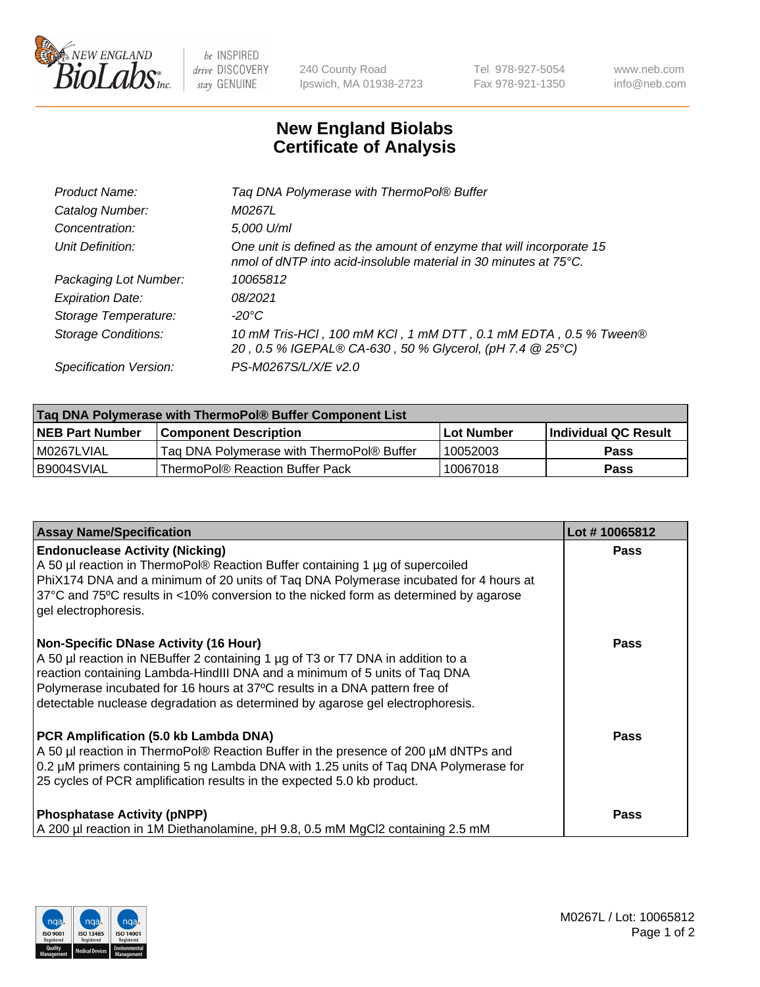

 $be$  INSPIRED drive DISCOVERY stay GENUINE

240 County Road Ipswich, MA 01938-2723 Tel 978-927-5054 Fax 978-921-1350 www.neb.com info@neb.com

## **New England Biolabs Certificate of Analysis**

| Tag DNA Polymerase with ThermoPol® Buffer                                                                                                |
|------------------------------------------------------------------------------------------------------------------------------------------|
| M0267L                                                                                                                                   |
| 5,000 U/ml                                                                                                                               |
| One unit is defined as the amount of enzyme that will incorporate 15<br>nmol of dNTP into acid-insoluble material in 30 minutes at 75°C. |
| 10065812                                                                                                                                 |
| 08/2021                                                                                                                                  |
| $-20^{\circ}$ C                                                                                                                          |
| 10 mM Tris-HCl, 100 mM KCl, 1 mM DTT, 0.1 mM EDTA, 0.5 % Tween®<br>20, 0.5 % IGEPAL® CA-630, 50 % Glycerol, (pH 7.4 @ 25°C)              |
| PS-M0267S/L/X/E v2.0                                                                                                                     |
|                                                                                                                                          |

| ∣Taq DNA Polymerase with ThermoPol® Buffer Component List |                                           |                   |                      |  |  |
|-----------------------------------------------------------|-------------------------------------------|-------------------|----------------------|--|--|
| <b>NEB Part Number</b>                                    | <b>Component Description</b>              | <b>Lot Number</b> | Individual QC Result |  |  |
| I M0267LVIAL                                              | Tag DNA Polymerase with ThermoPol® Buffer | 10052003          | Pass                 |  |  |
| B9004SVIAL                                                | ThermoPol® Reaction Buffer Pack           | 10067018          | Pass                 |  |  |

| <b>Assay Name/Specification</b>                                                                                                                                                                                                                                                                                                                                              | Lot #10065812 |
|------------------------------------------------------------------------------------------------------------------------------------------------------------------------------------------------------------------------------------------------------------------------------------------------------------------------------------------------------------------------------|---------------|
| <b>Endonuclease Activity (Nicking)</b><br>A 50 µl reaction in ThermoPol® Reaction Buffer containing 1 µg of supercoiled<br>PhiX174 DNA and a minimum of 20 units of Taq DNA Polymerase incubated for 4 hours at<br>37°C and 75°C results in <10% conversion to the nicked form as determined by agarose<br>gel electrophoresis.                                              | <b>Pass</b>   |
| <b>Non-Specific DNase Activity (16 Hour)</b><br>A 50 µl reaction in NEBuffer 2 containing 1 µg of T3 or T7 DNA in addition to a<br>reaction containing Lambda-HindIII DNA and a minimum of 5 units of Taq DNA<br>Polymerase incubated for 16 hours at 37°C results in a DNA pattern free of<br>detectable nuclease degradation as determined by agarose gel electrophoresis. | Pass          |
| PCR Amplification (5.0 kb Lambda DNA)<br>A 50 µl reaction in ThermoPol® Reaction Buffer in the presence of 200 µM dNTPs and<br>0.2 µM primers containing 5 ng Lambda DNA with 1.25 units of Taq DNA Polymerase for<br>25 cycles of PCR amplification results in the expected 5.0 kb product.                                                                                 | Pass          |
| <b>Phosphatase Activity (pNPP)</b><br>A 200 µl reaction in 1M Diethanolamine, pH 9.8, 0.5 mM MgCl2 containing 2.5 mM                                                                                                                                                                                                                                                         | <b>Pass</b>   |